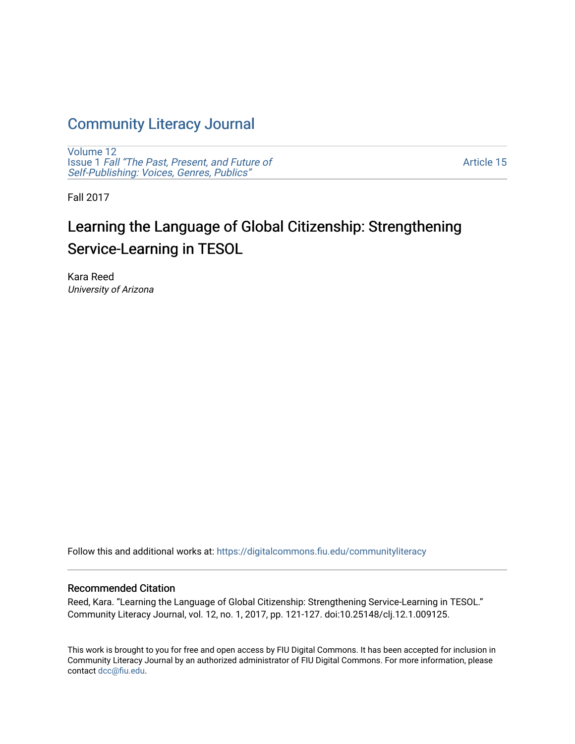## [Community Literacy Journal](https://digitalcommons.fiu.edu/communityliteracy)

[Volume 12](https://digitalcommons.fiu.edu/communityliteracy/vol12) Issue 1 [Fall "The Past, Present, and Future of](https://digitalcommons.fiu.edu/communityliteracy/vol12/iss1) [Self-Publishing: Voices, Genres, Publics"](https://digitalcommons.fiu.edu/communityliteracy/vol12/iss1) 

[Article 15](https://digitalcommons.fiu.edu/communityliteracy/vol12/iss1/15) 

Fall 2017

# Learning the Language of Global Citizenship: Strengthening Service-Learning in TESOL

Kara Reed University of Arizona

Follow this and additional works at: [https://digitalcommons.fiu.edu/communityliteracy](https://digitalcommons.fiu.edu/communityliteracy?utm_source=digitalcommons.fiu.edu%2Fcommunityliteracy%2Fvol12%2Fiss1%2F15&utm_medium=PDF&utm_campaign=PDFCoverPages)

#### Recommended Citation

Reed, Kara. "Learning the Language of Global Citizenship: Strengthening Service-Learning in TESOL." Community Literacy Journal, vol. 12, no. 1, 2017, pp. 121-127. doi:10.25148/clj.12.1.009125.

This work is brought to you for free and open access by FIU Digital Commons. It has been accepted for inclusion in Community Literacy Journal by an authorized administrator of FIU Digital Commons. For more information, please contact [dcc@fiu.edu](mailto:dcc@fiu.edu).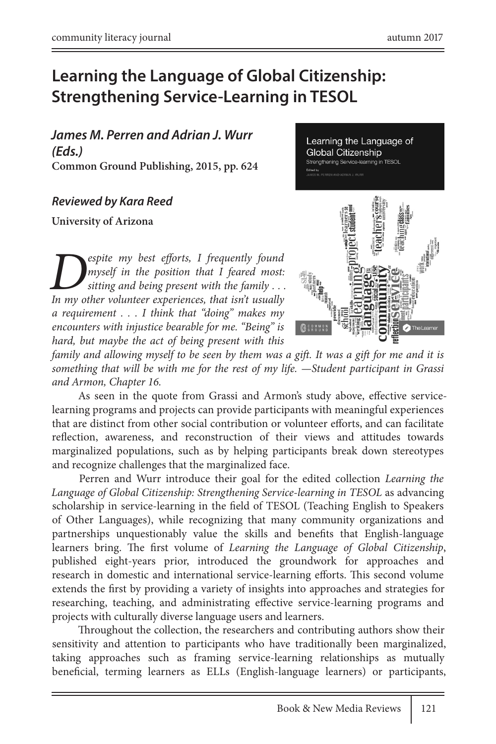### **Learning the Language of Global Citizenship: Strengthening Service-Learning in TESOL**

*James M. Perren and Adrian J. Wurr (Eds.)* **Common Ground Publishing, 2015, pp. 624**

### *Reviewed by Kara Reed*

**University of Arizona** 

**D**espite my best efforts, I frequently found myself in the position that I feared most:<br>sitting and being present with the family...<br>In my other volunteer experiences, that isn't usually *myself in the position that I feared most: sitting and being present with the family . . . In my other volunteer experiences, that isn't usually a requirement . . . I think that "doing" makes my encounters with injustice bearable for me. "Being" is hard, but maybe the act of being present with this* 



*family and allowing myself to be seen by them was a gift. It was a gift for me and it is something that will be with me for the rest of my life. —Student participant in Grassi and Armon, Chapter 16.*

As seen in the quote from Grassi and Armon's study above, effective servicelearning programs and projects can provide participants with meaningful experiences that are distinct from other social contribution or volunteer efforts, and can facilitate reflection, awareness, and reconstruction of their views and attitudes towards marginalized populations, such as by helping participants break down stereotypes and recognize challenges that the marginalized face.

Perren and Wurr introduce their goal for the edited collection *Learning the Language of Global Citizenship: Strengthening Service-learning in TESOL* as advancing scholarship in service-learning in the field of TESOL (Teaching English to Speakers of Other Languages), while recognizing that many community organizations and partnerships unquestionably value the skills and benefits that English-language learners bring. The first volume of *Learning the Language of Global Citizenship*, published eight-years prior, introduced the groundwork for approaches and research in domestic and international service-learning efforts. This second volume extends the first by providing a variety of insights into approaches and strategies for researching, teaching, and administrating effective service-learning programs and projects with culturally diverse language users and learners.

Throughout the collection, the researchers and contributing authors show their sensitivity and attention to participants who have traditionally been marginalized, taking approaches such as framing service-learning relationships as mutually beneficial, terming learners as ELLs (English-language learners) or participants,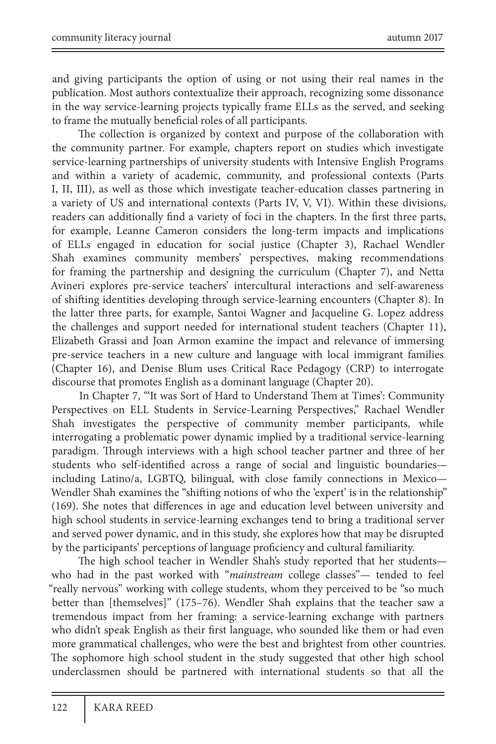and giving participants the option of using or not using their real names in the publication. Most authors contextualize their approach, recognizing some dissonance in the way service-learning projects typically frame ELLs as the served, and seeking to frame the mutually beneficial roles of all participants.

The collection is organized by context and purpose of the collaboration with the community partner. For example, chapters report on studies which investigate service-learning partnerships of university students with Intensive English Programs and within a variety of academic, community, and professional contexts (Parts I, II, III), as well as those which investigate teacher-education classes partnering in a variety of US and international contexts (Parts IV, V, VI). Within these divisions, readers can additionally find a variety of foci in the chapters. In the first three parts, for example, Leanne Cameron considers the long-term impacts and implications of ELLs engaged in education for social justice (Chapter 3), Rachael Wendler Shah examines community members' perspectives, making recommendations for framing the partnership and designing the curriculum (Chapter 7), and Netta Avineri explores pre-service teachers' intercultural interactions and self-awareness of shifting identities developing through service-learning encounters (Chapter 8). In the latter three parts, for example, Santoi Wagner and Jacqueline G. Lopez address the challenges and support needed for international student teachers (Chapter 11), Elizabeth Grassi and Joan Armon examine the impact and relevance of immersing pre-service teachers in a new culture and language with local immigrant families (Chapter 16), and Denise Blum uses Critical Race Pedagogy (CRP) to interrogate discourse that promotes English as a dominant language (Chapter 20).

In Chapter 7, "'It was Sort of Hard to Understand Them at Times': Community Perspectives on ELL Students in Service-Learning Perspectives," Rachael Wendler Shah investigates the perspective of community member participants, while interrogating a problematic power dynamic implied by a traditional service-learning paradigm. Through interviews with a high school teacher partner and three of her students who self-identified across a range of social and linguistic boundaries including Latino/a, LGBTQ, bilingual, with close family connections in Mexico— Wendler Shah examines the "shifting notions of who the 'expert' is in the relationship" (169). She notes that differences in age and education level between university and high school students in service-learning exchanges tend to bring a traditional server and served power dynamic, and in this study, she explores how that may be disrupted by the participants' perceptions of language proficiency and cultural familiarity.

The high school teacher in Wendler Shah's study reported that her students who had in the past worked with "*mainstream* college classes"— tended to feel "really nervous" working with college students, whom they perceived to be "so much better than [themselves]" (175–76). Wendler Shah explains that the teacher saw a tremendous impact from her framing: a service-learning exchange with partners who didn't speak English as their first language, who sounded like them or had even more grammatical challenges, who were the best and brightest from other countries. The sophomore high school student in the study suggested that other high school underclassmen should be partnered with international students so that all the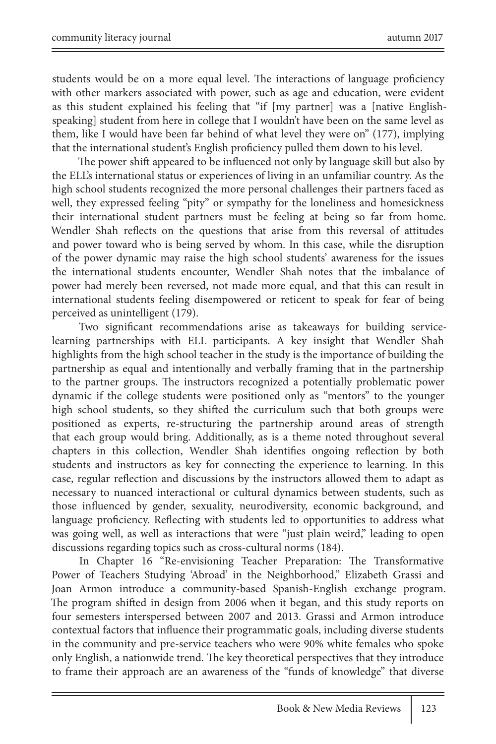students would be on a more equal level. The interactions of language proficiency with other markers associated with power, such as age and education, were evident as this student explained his feeling that "if [my partner] was a [native Englishspeaking] student from here in college that I wouldn't have been on the same level as them, like I would have been far behind of what level they were on" (177), implying that the international student's English proficiency pulled them down to his level.

The power shift appeared to be influenced not only by language skill but also by the ELL's international status or experiences of living in an unfamiliar country. As the high school students recognized the more personal challenges their partners faced as well, they expressed feeling "pity" or sympathy for the loneliness and homesickness their international student partners must be feeling at being so far from home. Wendler Shah reflects on the questions that arise from this reversal of attitudes and power toward who is being served by whom. In this case, while the disruption of the power dynamic may raise the high school students' awareness for the issues the international students encounter, Wendler Shah notes that the imbalance of power had merely been reversed, not made more equal, and that this can result in international students feeling disempowered or reticent to speak for fear of being perceived as unintelligent (179).

Two significant recommendations arise as takeaways for building servicelearning partnerships with ELL participants. A key insight that Wendler Shah highlights from the high school teacher in the study is the importance of building the partnership as equal and intentionally and verbally framing that in the partnership to the partner groups. The instructors recognized a potentially problematic power dynamic if the college students were positioned only as "mentors" to the younger high school students, so they shifted the curriculum such that both groups were positioned as experts, re-structuring the partnership around areas of strength that each group would bring. Additionally, as is a theme noted throughout several chapters in this collection, Wendler Shah identifies ongoing reflection by both students and instructors as key for connecting the experience to learning. In this case, regular reflection and discussions by the instructors allowed them to adapt as necessary to nuanced interactional or cultural dynamics between students, such as those influenced by gender, sexuality, neurodiversity, economic background, and language proficiency. Reflecting with students led to opportunities to address what was going well, as well as interactions that were "just plain weird," leading to open discussions regarding topics such as cross-cultural norms (184).

In Chapter 16 "Re-envisioning Teacher Preparation: The Transformative Power of Teachers Studying 'Abroad' in the Neighborhood," Elizabeth Grassi and Joan Armon introduce a community-based Spanish-English exchange program. The program shifted in design from 2006 when it began, and this study reports on four semesters interspersed between 2007 and 2013. Grassi and Armon introduce contextual factors that influence their programmatic goals, including diverse students in the community and pre-service teachers who were 90% white females who spoke only English, a nationwide trend. The key theoretical perspectives that they introduce to frame their approach are an awareness of the "funds of knowledge" that diverse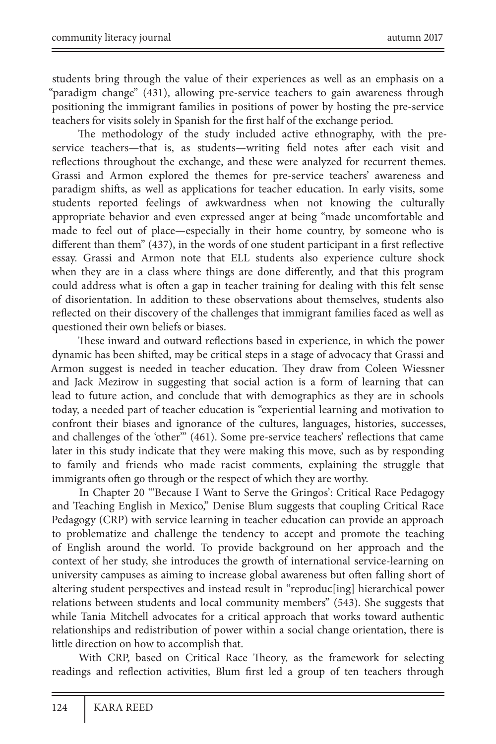students bring through the value of their experiences as well as an emphasis on a "paradigm change" (431), allowing pre-service teachers to gain awareness through positioning the immigrant families in positions of power by hosting the pre-service teachers for visits solely in Spanish for the first half of the exchange period.

The methodology of the study included active ethnography, with the preservice teachers—that is, as students—writing field notes after each visit and reflections throughout the exchange, and these were analyzed for recurrent themes. Grassi and Armon explored the themes for pre-service teachers' awareness and paradigm shifts, as well as applications for teacher education. In early visits, some students reported feelings of awkwardness when not knowing the culturally appropriate behavior and even expressed anger at being "made uncomfortable and made to feel out of place—especially in their home country, by someone who is different than them" (437), in the words of one student participant in a first reflective essay. Grassi and Armon note that ELL students also experience culture shock when they are in a class where things are done differently, and that this program could address what is often a gap in teacher training for dealing with this felt sense of disorientation. In addition to these observations about themselves, students also reflected on their discovery of the challenges that immigrant families faced as well as questioned their own beliefs or biases.

These inward and outward reflections based in experience, in which the power dynamic has been shifted, may be critical steps in a stage of advocacy that Grassi and Armon suggest is needed in teacher education. They draw from Coleen Wiessner and Jack Mezirow in suggesting that social action is a form of learning that can lead to future action, and conclude that with demographics as they are in schools today, a needed part of teacher education is "experiential learning and motivation to confront their biases and ignorance of the cultures, languages, histories, successes, and challenges of the 'other'" (461). Some pre-service teachers' reflections that came later in this study indicate that they were making this move, such as by responding to family and friends who made racist comments, explaining the struggle that immigrants often go through or the respect of which they are worthy.

In Chapter 20 "'Because I Want to Serve the Gringos': Critical Race Pedagogy and Teaching English in Mexico," Denise Blum suggests that coupling Critical Race Pedagogy (CRP) with service learning in teacher education can provide an approach to problematize and challenge the tendency to accept and promote the teaching of English around the world. To provide background on her approach and the context of her study, she introduces the growth of international service-learning on university campuses as aiming to increase global awareness but often falling short of altering student perspectives and instead result in "reproduc[ing] hierarchical power relations between students and local community members" (543). She suggests that while Tania Mitchell advocates for a critical approach that works toward authentic relationships and redistribution of power within a social change orientation, there is little direction on how to accomplish that.

With CRP, based on Critical Race Theory, as the framework for selecting readings and reflection activities, Blum first led a group of ten teachers through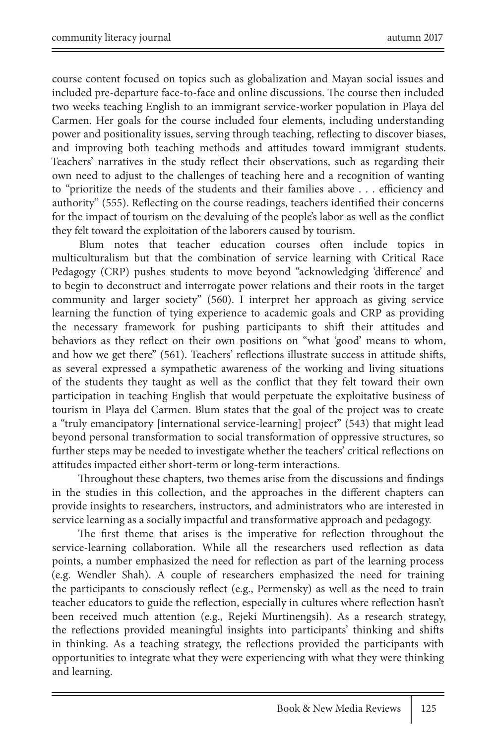course content focused on topics such as globalization and Mayan social issues and included pre-departure face-to-face and online discussions. The course then included two weeks teaching English to an immigrant service-worker population in Playa del Carmen. Her goals for the course included four elements, including understanding power and positionality issues, serving through teaching, reflecting to discover biases, and improving both teaching methods and attitudes toward immigrant students. Teachers' narratives in the study reflect their observations, such as regarding their own need to adjust to the challenges of teaching here and a recognition of wanting to "prioritize the needs of the students and their families above . . . efficiency and authority" (555). Reflecting on the course readings, teachers identified their concerns for the impact of tourism on the devaluing of the people's labor as well as the conflict they felt toward the exploitation of the laborers caused by tourism.

Blum notes that teacher education courses often include topics in multiculturalism but that the combination of service learning with Critical Race Pedagogy (CRP) pushes students to move beyond "acknowledging 'difference' and to begin to deconstruct and interrogate power relations and their roots in the target community and larger society" (560). I interpret her approach as giving service learning the function of tying experience to academic goals and CRP as providing the necessary framework for pushing participants to shift their attitudes and behaviors as they reflect on their own positions on "what 'good' means to whom, and how we get there" (561). Teachers' reflections illustrate success in attitude shifts, as several expressed a sympathetic awareness of the working and living situations of the students they taught as well as the conflict that they felt toward their own participation in teaching English that would perpetuate the exploitative business of tourism in Playa del Carmen. Blum states that the goal of the project was to create a "truly emancipatory [international service-learning] project" (543) that might lead beyond personal transformation to social transformation of oppressive structures, so further steps may be needed to investigate whether the teachers' critical reflections on attitudes impacted either short-term or long-term interactions.

Throughout these chapters, two themes arise from the discussions and findings in the studies in this collection, and the approaches in the different chapters can provide insights to researchers, instructors, and administrators who are interested in service learning as a socially impactful and transformative approach and pedagogy.

The first theme that arises is the imperative for reflection throughout the service-learning collaboration. While all the researchers used reflection as data points, a number emphasized the need for reflection as part of the learning process (e.g. Wendler Shah). A couple of researchers emphasized the need for training the participants to consciously reflect (e.g., Permensky) as well as the need to train teacher educators to guide the reflection, especially in cultures where reflection hasn't been received much attention (e.g., Rejeki Murtinengsih). As a research strategy, the reflections provided meaningful insights into participants' thinking and shifts in thinking. As a teaching strategy, the reflections provided the participants with opportunities to integrate what they were experiencing with what they were thinking and learning.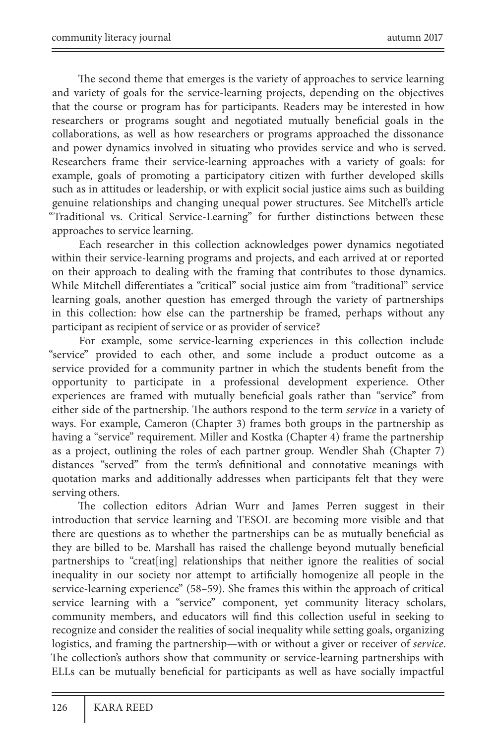The second theme that emerges is the variety of approaches to service learning and variety of goals for the service-learning projects, depending on the objectives that the course or program has for participants. Readers may be interested in how researchers or programs sought and negotiated mutually beneficial goals in the collaborations, as well as how researchers or programs approached the dissonance and power dynamics involved in situating who provides service and who is served. Researchers frame their service-learning approaches with a variety of goals: for example, goals of promoting a participatory citizen with further developed skills such as in attitudes or leadership, or with explicit social justice aims such as building genuine relationships and changing unequal power structures. See Mitchell's article "Traditional vs. Critical Service-Learning" for further distinctions between these approaches to service learning.

Each researcher in this collection acknowledges power dynamics negotiated within their service-learning programs and projects, and each arrived at or reported on their approach to dealing with the framing that contributes to those dynamics. While Mitchell differentiates a "critical" social justice aim from "traditional" service learning goals, another question has emerged through the variety of partnerships in this collection: how else can the partnership be framed, perhaps without any participant as recipient of service or as provider of service?

For example, some service-learning experiences in this collection include "service" provided to each other, and some include a product outcome as a service provided for a community partner in which the students benefit from the opportunity to participate in a professional development experience. Other experiences are framed with mutually beneficial goals rather than "service" from either side of the partnership. The authors respond to the term *service* in a variety of ways. For example, Cameron (Chapter 3) frames both groups in the partnership as having a "service" requirement. Miller and Kostka (Chapter 4) frame the partnership as a project, outlining the roles of each partner group. Wendler Shah (Chapter 7) distances "served" from the term's definitional and connotative meanings with quotation marks and additionally addresses when participants felt that they were serving others.

The collection editors Adrian Wurr and James Perren suggest in their introduction that service learning and TESOL are becoming more visible and that there are questions as to whether the partnerships can be as mutually beneficial as they are billed to be. Marshall has raised the challenge beyond mutually beneficial partnerships to "creat[ing] relationships that neither ignore the realities of social inequality in our society nor attempt to artificially homogenize all people in the service-learning experience" (58–59). She frames this within the approach of critical service learning with a "service" component, yet community literacy scholars, community members, and educators will find this collection useful in seeking to recognize and consider the realities of social inequality while setting goals, organizing logistics, and framing the partnership—with or without a giver or receiver of *service*. The collection's authors show that community or service-learning partnerships with ELLs can be mutually beneficial for participants as well as have socially impactful